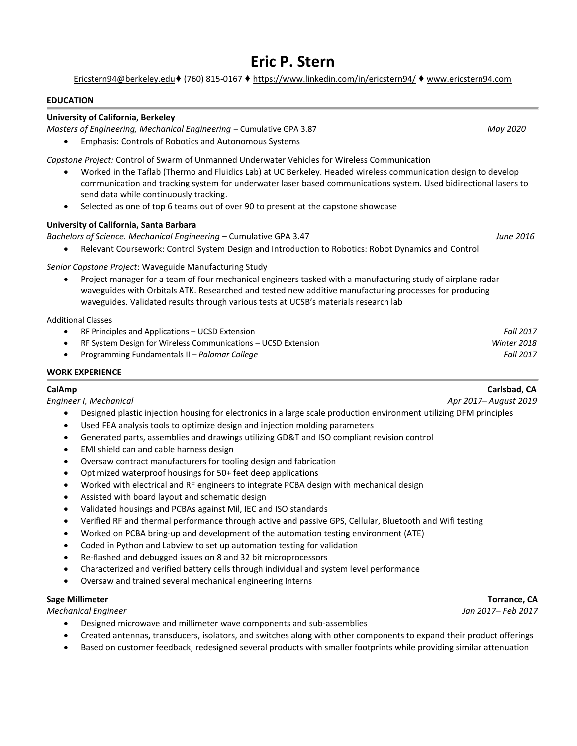# **Eric P. Stern**

[Ericstern94@berkeley.edu](https://mail.google.com/mail/?view=cm&fs=1&to=ericstern94@berkeley.edu)♦ (760) 815-0167 ♦ <https://www.linkedin.com/in/ericstern94/> ♦ [www.ericstern94.com](file:///C:/Users/Eric/Google%20Drive/Work/Resumes%20&%20Cover%20Letter/www.ericstern94.com)

### **EDUCATION**

### **University of California, Berkeley**

*Masters of Engineering, Mechanical Engineering* – Cumulative GPA 3.87*May 2020*

Emphasis: Controls of Robotics and Autonomous Systems

*Capstone Project:* Control of Swarm of Unmanned Underwater Vehicles for Wireless Communication

- Worked in the Taflab (Thermo and Fluidics Lab) at UC Berkeley. Headed wireless communication design to develop communication and tracking system for underwater laser based communications system. Used bidirectional lasers to send data while continuously tracking.
- Selected as one of top 6 teams out of over 90 to present at the capstone showcase

### **University of California, Santa Barbara**

*Bachelors of Science. Mechanical Engineering* – Cumulative GPA 3.47*June 2016*

Relevant Coursework: Control System Design and Introduction to Robotics: Robot Dynamics and Control

## *Senior Capstone Project*: Waveguide Manufacturing Study

 Project manager for a team of four mechanical engineers tasked with a manufacturing study of airplane radar waveguides with Orbitals ATK. Researched and tested new additive manufacturing processes for producing waveguides. Validated results through various tests at UCSB's materials research lab

### Additional Classes

| RF Principles and Applications – UCSD Extension               | Fall 2017   |
|---------------------------------------------------------------|-------------|
| RF System Design for Wireless Communications – UCSD Extension | Winter 2018 |
| Programming Fundamentals II – Palomar College                 | Fall 2017   |

### **WORK EXPERIENCE**

- Designed plastic injection housing for electronics in a large scale production environment utilizing DFM principles
- Used FEA analysis tools to optimize design and injection molding parameters
- Generated parts, assemblies and drawings utilizing GD&T and ISO compliant revision control
- EMI shield can and cable harness design
- Oversaw contract manufacturers for tooling design and fabrication
- Optimized waterproof housings for 50+ feet deep applications
- Worked with electrical and RF engineers to integrate PCBA design with mechanical design
- Assisted with board layout and schematic design
- Validated housings and PCBAs against Mil, IEC and ISO standards
- Verified RF and thermal performance through active and passive GPS, Cellular, Bluetooth and Wifi testing
- Worked on PCBA bring-up and development of the automation testing environment (ATE)
- Coded in Python and Labview to set up automation testing for validation
- Re-flashed and debugged issues on 8 and 32 bit microprocessors
- Characterized and verified battery cells through individual and system level performance
- Oversaw and trained several mechanical engineering Interns

*Mechanical Engineer Jan 2017– Feb 2017*

- Designed microwave and millimeter wave components and sub-assemblies
- Created antennas, transducers, isolators, and switches along with other components to expand their product offerings
- Based on customer feedback, redesigned several products with smaller footprints while providing similar attenuation

**Sage Millimeter** Torrance, CA

**CalAmp Carlsbad**, **CA**

*Engineer I, Mechanical Apr 2017– August 2019*